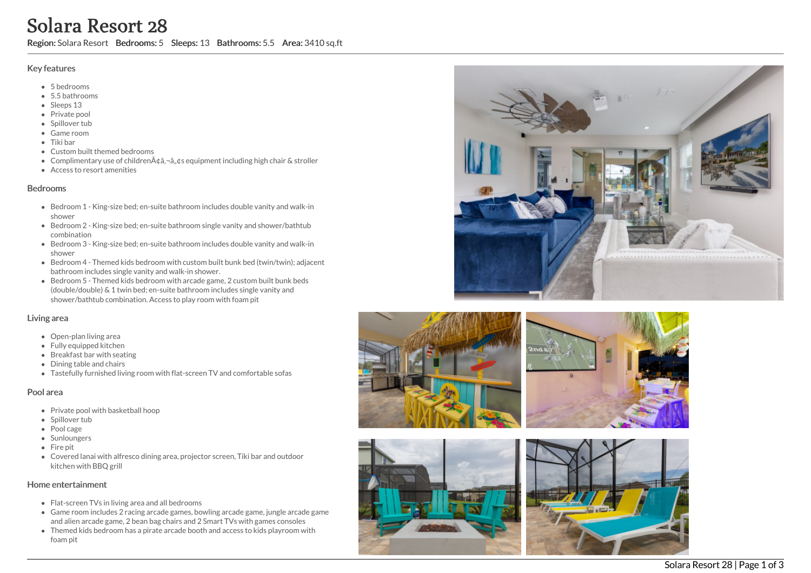# Solara Resort 28

Region: Solara Resort Bedrooms: 5 Sleeps: 13 Bathrooms: 5.5 Area: 3410 sq.ft

## Key features

- 5 b e d r o o m s
- 5.5 b a t h r o o m s
- Sleeps 13
- Private pool
- Spillover tub
- Game room
- Tiki bar
- Custom built themed bedrooms
- Complimentary use of childrenââ,¬â"¢s equipment including high chair & stroller
- Access to resort amenities

## **Bedrooms**

- Bedroom 1 King-size bed; en-suite bathroom includes double vanity and walk-in s h o w e r
- Bedroom 2 King-size bed; en-suite bathroom single vanity and shower/bathtub c o m bin a tio n
- Bedroom 3 King-size bed; en-suite bathroom includes double vanity and walk-in s h o w e r
- Bedroom 4 Themed kids bedroom with custom built bunk bed (twin/twin); adjacent bathroom includes single vanity and walk-in shower.
- Bedroom 5 Themed kids bedroom with arcade game, 2 custom built bunk beds (double/double) & 1 twin bed; en-suite bathroom includes single vanity and shower/bathtub combination. Access to play room with foam pit

# Living area

- Open-plan living area
- Fully equipped kitchen
- Breakfast bar with seating
- Dining table and chairs
- Tastefully furnished living room with flat-screen TV and comfortable sofas

# Pool area

- Private pool with basketball hoop
- Spillover tub
- Pool cage
- **Sunloungers**
- Fir e pit
- Covered lanai with alfresco dining area, projector screen, Tiki bar and outdoor kit c h e n wit h B B Q g rill

# Home entertainment

- Flat-screen TVs in living area and all bedrooms
- Game room includes 2 racing arcade games, bowling arcade game, jungle arcade game and alien arcade game, 2 bean bag chairs and 2 Smart TVs with games consoles
- Themed kids bedroom has a pirate arcade booth and access to kids playroom with f o a m pit









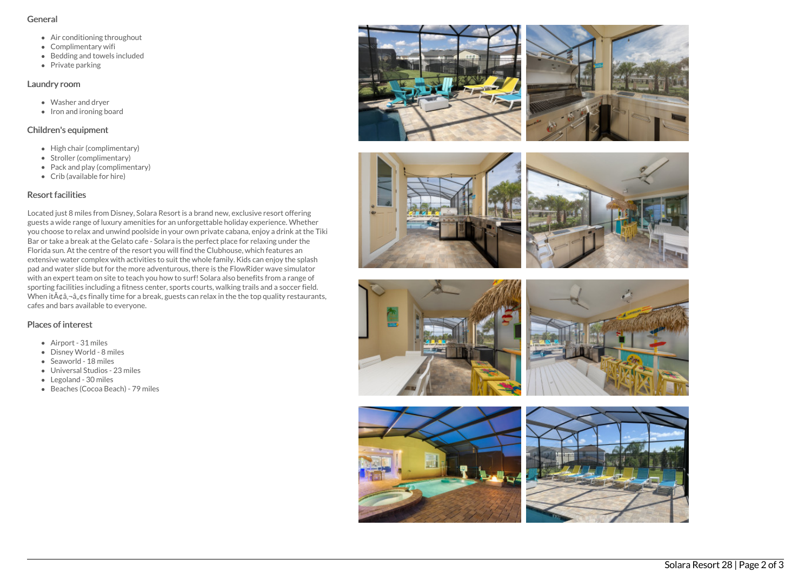#### General

- Air conditioning throughout
- Complimentary wifi
- Bedding and towels included
- Private parking

## Laundry room

- Washer and dryer
- $\bullet$  Iron and ironing board

# Children's equipment

- High chair (complimentary)
- Stroller (complimentary)
- Pack and play (complimentary)
- Crib (available for hire)

# Resort facilities

Located just 8 miles from Disney, Solara Resort is a brand new, exclusive resort offering guests a wide range of luxury amenities for an unforgettable holiday experience. Whether you choose to relax and unwind poolside in your own private cabana, enjoy a drink at the Tiki Bar or take a break at the Gelato cafe - Solara is the perfect place for relaxing under the Florida sun. At the centre of the resort you will find the Clubhouse, which features an extensive water complex with activities to suit the whole family. Kids can enjoy the splash pad and water slide but for the more adventurous, there is the FlowRider wave simulator with an expert team on site to teach you how to surf! Solara also benefits from a range of sporting facilities including a fitness center, sports courts, walking trails and a soccer field. When  $it\tilde{A}$  $\tilde{a}$ , $\tilde{a}$ , $\tilde{a}$ , $\tilde{a}$  finally time for a break, guests can relax in the the top quality restaurants, cafes and bars available to everyone.

# Places of interest

- Airport 31 miles
- Disney World 8 miles
- Seaworld 18 miles
- Universal Studios 23 miles
- Legoland 30 miles
- Beaches (Cocoa Beach) 79 miles